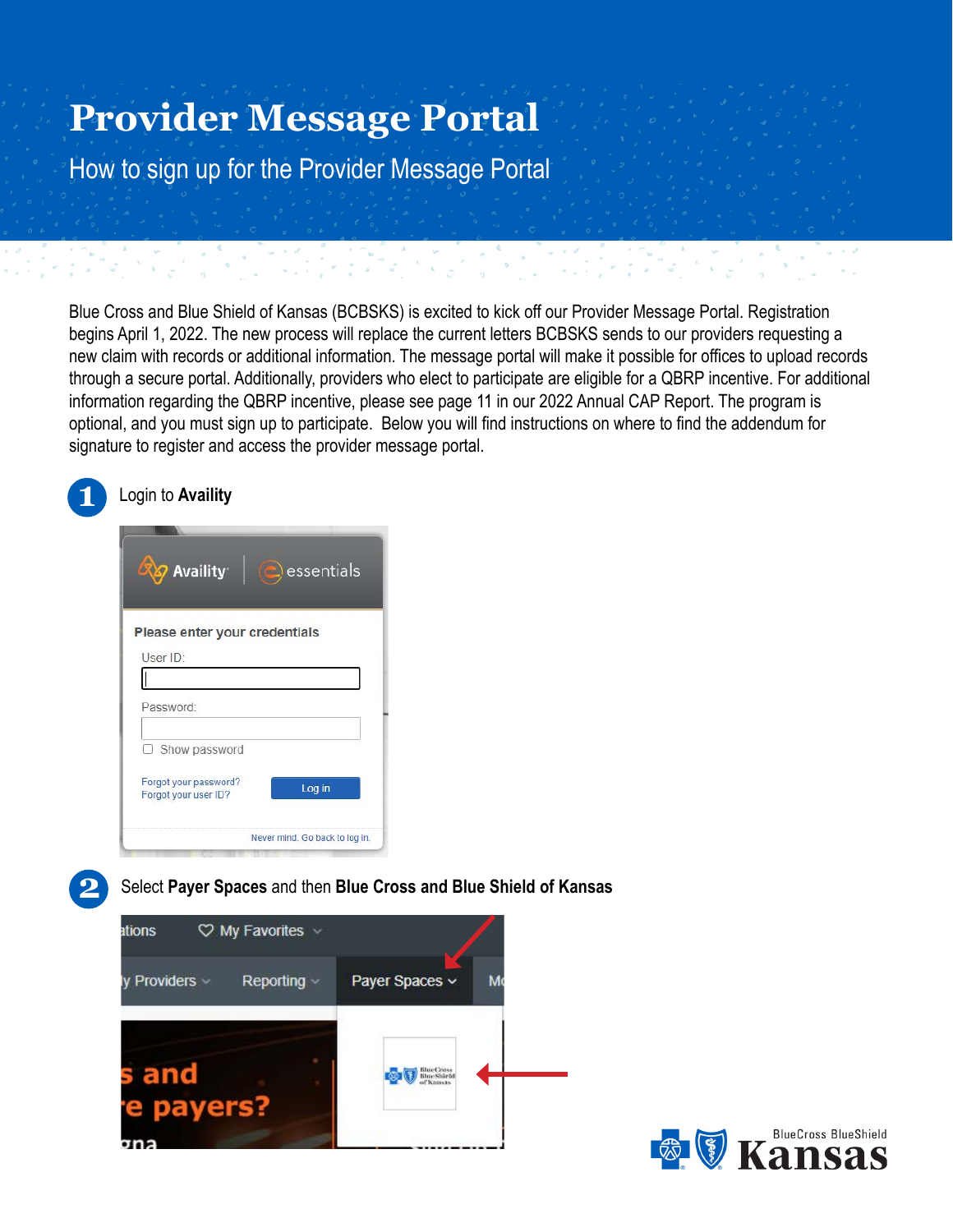# **Provider Message Portal**

How to sign up for the Provider Message Portal

Blue Cross and Blue Shield of Kansas (BCBSKS) is excited to kick off our Provider Message Portal. Registration begins April 1, 2022. The new process will replace the current letters BCBSKS sends to our providers requesting a new claim with records or additional information. The message portal will make it possible for offices to upload records through a secure portal. Additionally, providers who elect to participate are eligible for a QBRP incentive. For additional information regarding the QBRP incentive, please see page 11 in our 2022 Annual CAP Report. The program is optional, and you must sign up to participate. Below you will find instructions on where to find the addendum for signature to register and access the provider message portal.





**2** Select **Payer Spaces** and then **Blue Cross and Blue Shield of Kansas**



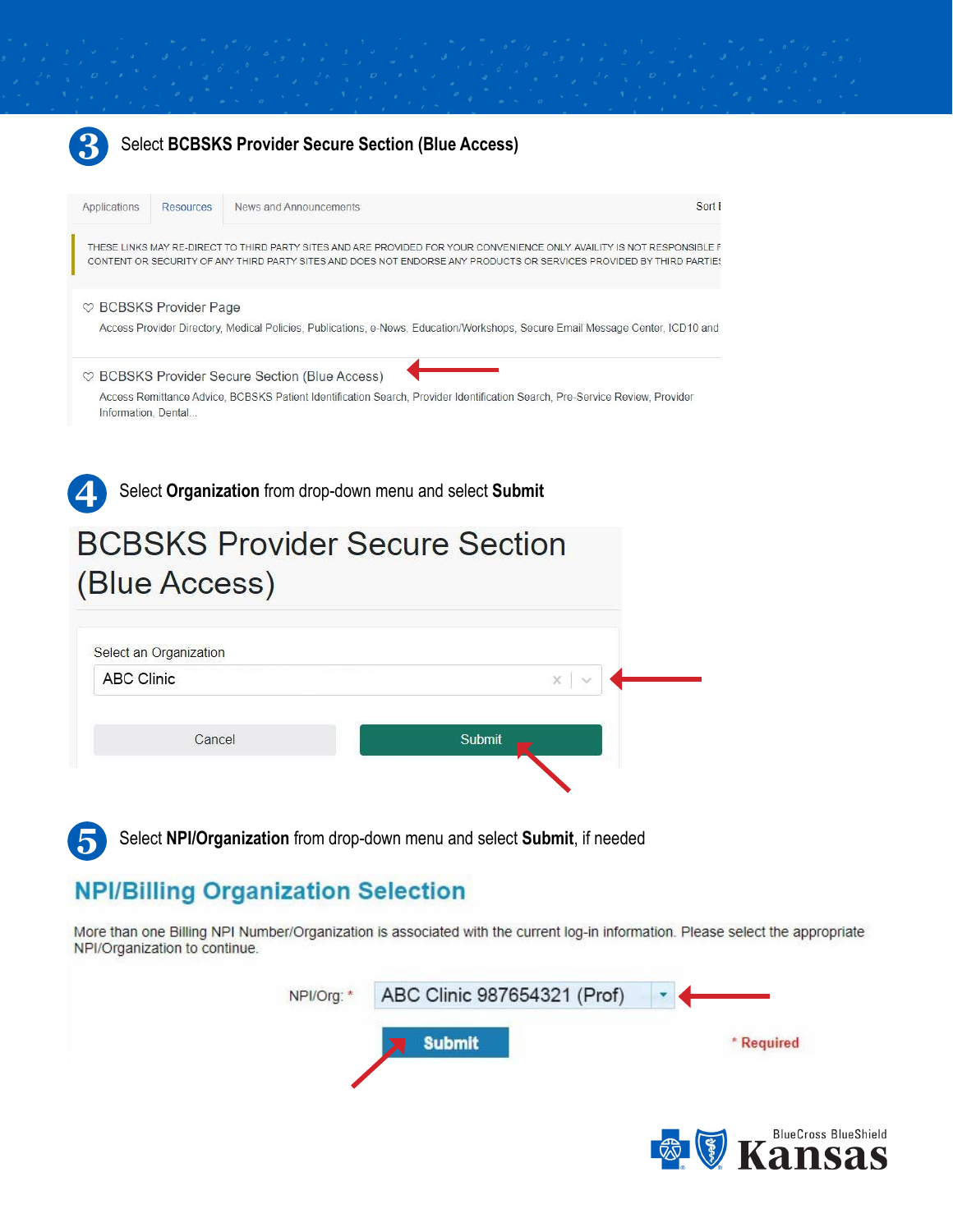

**5** Select **NPI/Organization** from drop-down menu and select **Submit**, if needed

## **NPI/Billing Organization Selection**

More than one Billing NPI Number/Organization is associated with the current log-in information. Please select the appropriate NPI/Organization to continue.



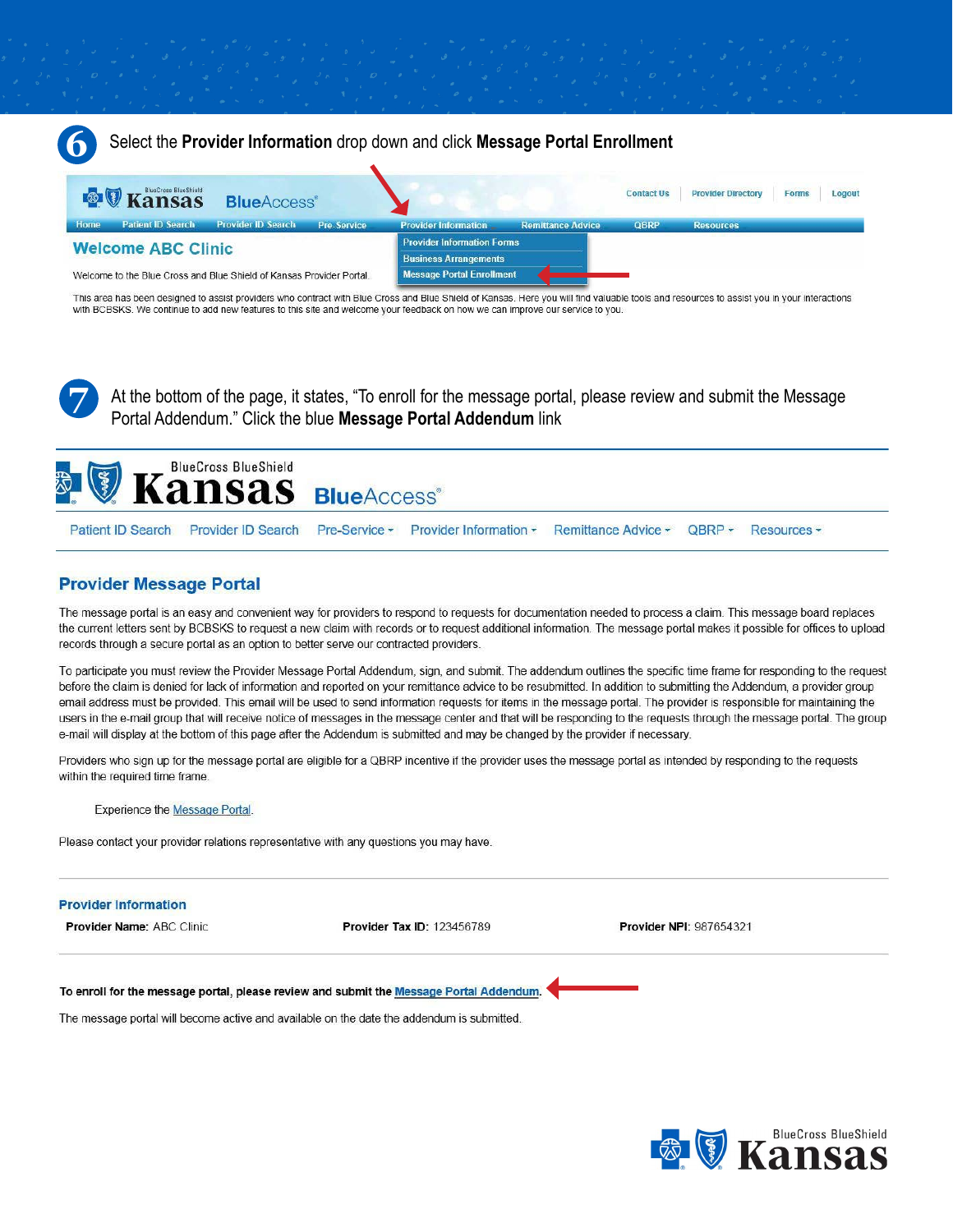

This area has been designed to assist providers who contract with Blue Cross and Blue Shield of Kansas. Here you will find valuable tools and resources to assist you in your interactions with BCBSKS. We continue to add new features to this site and welcome your feedback on how we can improve our service to you.

At the bottom of the page, it states, "To enroll for the message portal, please review and submit the Message Portal Addendum." Click the blue Message Portal Addendum link



### **Provider Message Portal**

The message portal is an easy and convenient way for providers to respond to requests for documentation needed to process a claim. This message board replaces the current letters sent by BCBSKS to request a new claim with records or to request additional information. The message portal makes it possible for offices to upload records through a secure portal as an option to better serve our contracted providers.

To participate you must review the Provider Message Portal Addendum, sign, and submit. The addendum outlines the specific time frame for responding to the request before the claim is denied for lack of information and reported on your remittance advice to be resubmitted. In addition to submitting the Addendum, a provider group email address must be provided. This email will be used to send information requests for items in the message portal. The provider is responsible for maintaining the users in the e-mail group that will receive notice of messages in the message center and that will be responding to the requests through the message portal. The group e-mail will display at the bottom of this page after the Addendum is submitted and may be changed by the provider if necessary.

Providers who sign up for the message portal are eligible for a QBRP incentive if the provider uses the message portal as intended by responding to the requests within the required time frame.

**Experience the Message Portal.** 

Please contact your provider relations representative with any questions you may have.